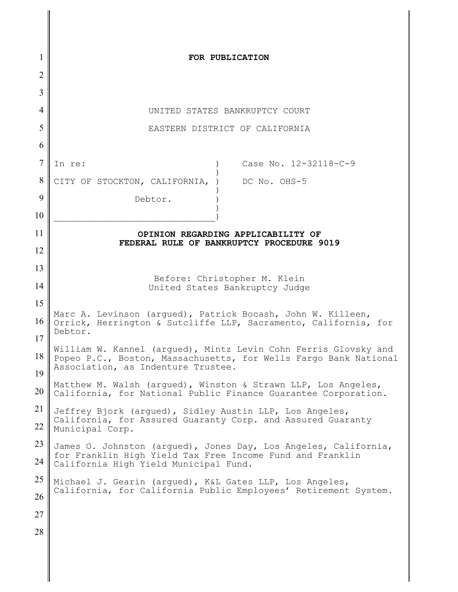| 1              | FOR PUBLICATION                                                                                                                     |
|----------------|-------------------------------------------------------------------------------------------------------------------------------------|
| $\overline{2}$ |                                                                                                                                     |
| 3              |                                                                                                                                     |
| 4              | UNITED STATES BANKRUPTCY COURT                                                                                                      |
| 5              | EASTERN DISTRICT OF CALIFORNIA                                                                                                      |
| 6              |                                                                                                                                     |
| $\overline{7}$ | Case No. 12-32118-C-9<br>In re:                                                                                                     |
| 8              | CITY OF STOCKTON, CALIFORNIA,<br>DC No. OHS-5                                                                                       |
| 9              | Debtor.                                                                                                                             |
| 10             |                                                                                                                                     |
| 11             | OPINION REGARDING APPLICABILITY OF<br>FEDERAL RULE OF BANKRUPTCY PROCEDURE 9019                                                     |
| 12             |                                                                                                                                     |
| 13             | Before: Christopher M. Klein                                                                                                        |
| 14             | United States Bankruptcy Judge                                                                                                      |
| 15             | Marc A. Levinson (arqued), Patrick Bocash, John W. Killeen,                                                                         |
| 16<br>17       | Orrick, Herrington & Sutcliffe LLP, Sacramento, California, for<br>Debtor.                                                          |
| 18             | William W. Kannel (argued), Mintz Levin Cohn Ferris Glovsky and<br>Popeo P.C., Boston, Massachusetts, for Wells Fargo Bank National |
| 19             | Association, as Indenture Trustee.                                                                                                  |
| 20             | Matthew M. Walsh (argued), Winston & Strawn LLP, Los Angeles,<br>California, for National Public Finance Guarantee Corporation.     |
| 21             | Jeffrey Bjork (argued), Sidley Austin LLP, Los Angeles,                                                                             |
| 22             | California, for Assured Guaranty Corp. and Assured Guaranty<br>Municipal Corp.                                                      |
| 23             | James O. Johnston (argued), Jones Day, Los Angeles, California,                                                                     |
| 24             | for Franklin High Yield Tax Free Income Fund and Franklin<br>California High Yield Municipal Fund.                                  |
| 25             | Michael J. Gearin (argued), K&L Gates LLP, Los Angeles,                                                                             |
| 26             | California, for California Public Employees' Retirement System.                                                                     |
| 27             |                                                                                                                                     |
| 28             |                                                                                                                                     |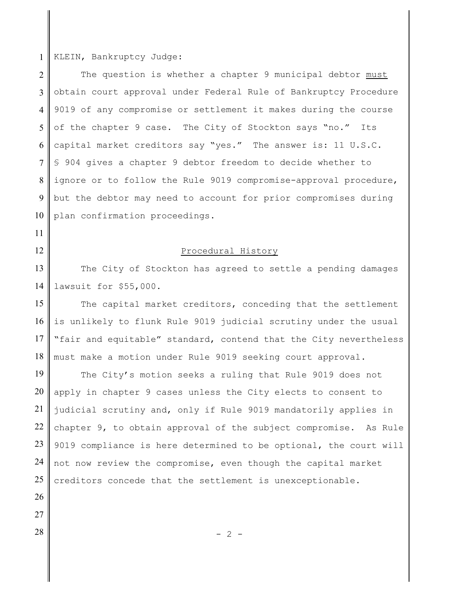1 KLEIN, Bankruptcy Judge:

2 3 4 5 6 7 8 9 10 The question is whether a chapter 9 municipal debtor must obtain court approval under Federal Rule of Bankruptcy Procedure 9019 of any compromise or settlement it makes during the course of the chapter 9 case. The City of Stockton says "no." Its capital market creditors say "yes." The answer is: 11 U.S.C. § 904 gives a chapter 9 debtor freedom to decide whether to ignore or to follow the Rule 9019 compromise-approval procedure, but the debtor may need to account for prior compromises during plan confirmation proceedings.

11

12

## Procedural History

13 14 The City of Stockton has agreed to settle a pending damages lawsuit for \$55,000.

15 16 17 18 The capital market creditors, conceding that the settlement is unlikely to flunk Rule 9019 judicial scrutiny under the usual "fair and equitable" standard, contend that the City nevertheless must make a motion under Rule 9019 seeking court approval.

19 20 21 22 23 24 25 The City's motion seeks a ruling that Rule 9019 does not apply in chapter 9 cases unless the City elects to consent to judicial scrutiny and, only if Rule 9019 mandatorily applies in chapter 9, to obtain approval of the subject compromise. As Rule 9019 compliance is here determined to be optional, the court will not now review the compromise, even though the capital market creditors concede that the settlement is unexceptionable.

26

27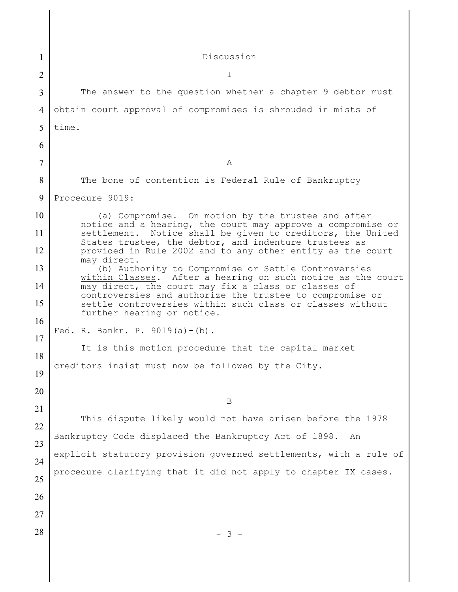| 1              | Discussion                                                                                                          |
|----------------|---------------------------------------------------------------------------------------------------------------------|
| $\overline{2}$ | $\mathbf I$                                                                                                         |
| 3              | The answer to the question whether a chapter 9 debtor must                                                          |
| 4              | obtain court approval of compromises is shrouded in mists of                                                        |
| 5              | time.                                                                                                               |
| 6              |                                                                                                                     |
| 7              | Α                                                                                                                   |
| 8              | The bone of contention is Federal Rule of Bankruptcy                                                                |
| 9              | Procedure 9019:                                                                                                     |
| 10             | (a) Compromise. On motion by the trustee and after<br>notice and a hearing, the court may approve a compromise or   |
| 11             | settlement. Notice shall be given to creditors, the United<br>States trustee, the debtor, and indenture trustees as |
| 12             | provided in Rule 2002 and to any other entity as the court<br>may direct.                                           |
| 13             | (b) Authority to Compromise or Settle Controversies<br>within Classes. After a hearing on such notice as the court  |
| 14             | may direct, the court may fix a class or classes of<br>controversies and authorize the trustee to compromise or     |
| 15             | settle controversies within such class or classes without<br>further hearing or notice.                             |
| 16             | Fed. R. Bankr. P. $9019(a) - (b)$ .                                                                                 |
| 17<br>18       | It is this motion procedure that the capital market                                                                 |
| 19             | creditors insist must now be followed by the City.                                                                  |
| 20             |                                                                                                                     |
| 21             | B                                                                                                                   |
| 22             | This dispute likely would not have arisen before the 1978                                                           |
| 23             | Bankruptcy Code displaced the Bankruptcy Act of 1898.<br>An                                                         |
| 24             | explicit statutory provision governed settlements, with a rule of                                                   |
| 25             | procedure clarifying that it did not apply to chapter IX cases.                                                     |
| 26             |                                                                                                                     |
| 27             |                                                                                                                     |
| 28             | $-3 -$                                                                                                              |
|                |                                                                                                                     |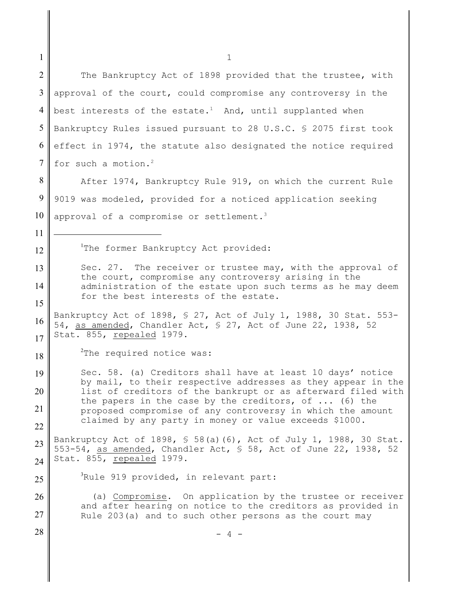1 2 3 4 5 6 7 8 9 10 11 12 13 14 15 16 17 18 19 20 21 22 23 24 25 26 27 28 1 The Bankruptcy Act of 1898 provided that the trustee, with approval of the court, could compromise any controversy in the best interests of the estate.<sup>1</sup> And, until supplanted when Bankruptcy Rules issued pursuant to 28 U.S.C. § 2075 first took effect in 1974, the statute also designated the notice required for such a motion.<sup>2</sup> After 1974, Bankruptcy Rule 919, on which the current Rule 9019 was modeled, provided for a noticed application seeking approval of a compromise or settlement.<sup>3</sup> <sup>1</sup>The former Bankruptcy Act provided: Sec. 27. The receiver or trustee may, with the approval of the court, compromise any controversy arising in the administration of the estate upon such terms as he may deem for the best interests of the estate. Bankruptcy Act of 1898, § 27, Act of July 1, 1988, 30 Stat. 553- 54, as amended, Chandler Act, § 27, Act of June 22, 1938, 52 Stat. 855, repealed 1979.  $2$ The required notice was: Sec. 58. (a) Creditors shall have at least 10 days' notice by mail, to their respective addresses as they appear in the list of creditors of the bankrupt or as afterward filed with the papers in the case by the creditors, of ... (6) the proposed compromise of any controversy in which the amount claimed by any party in money or value exceeds \$1000. Bankruptcy Act of 1898, § 58(a)(6), Act of July 1, 1988, 30 Stat. 553-54, as amended, Chandler Act, § 58, Act of June 22, 1938, 52 Stat. 855, repealed 1979.  $3$ Rule 919 provided, in relevant part: (a) Compromise. On application by the trustee or receiver and after hearing on notice to the creditors as provided in Rule 203(a) and to such other persons as the court may - 4 -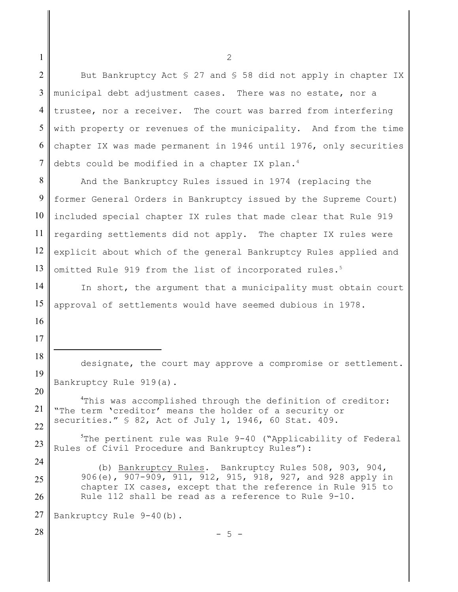2 3 4 5 6 7 But Bankruptcy Act § 27 and § 58 did not apply in chapter IX municipal debt adjustment cases. There was no estate, nor a trustee, nor a receiver. The court was barred from interfering with property or revenues of the municipality. And from the time chapter IX was made permanent in 1946 until 1976, only securities debts could be modified in a chapter IX plan. $4$ 

8 9 10 11 12 13 And the Bankruptcy Rules issued in 1974 (replacing the former General Orders in Bankruptcy issued by the Supreme Court) included special chapter IX rules that made clear that Rule 919 regarding settlements did not apply. The chapter IX rules were explicit about which of the general Bankruptcy Rules applied and omitted Rule 919 from the list of incorporated rules.<sup>5</sup>

14 15 16 In short, the argument that a municipality must obtain court approval of settlements would have seemed dubious in 1978.

designate, the court may approve a compromise or settlement. Bankruptcy Rule 919(a).

21 22 <sup>4</sup>This was accomplished through the definition of creditor: "The term 'creditor' means the holder of a security or securities."  $$ 82$ , Act of July 1, 1946, 60 Stat. 409.

23 The pertinent rule was Rule 9-40 ("Applicability of Federal Rules of Civil Procedure and Bankruptcy Rules"):

> (b) Bankruptcy Rules. Bankruptcy Rules 508, 903, 904, 906(e), 907-909, 911, 912, 915, 918, 927, and 928 apply in chapter IX cases, except that the reference in Rule 915 to Rule 112 shall be read as a reference to Rule 9-10.

27 Bankruptcy Rule 9-40(b).

1

17

18

19

20

24

25

26

28

 $-5 -$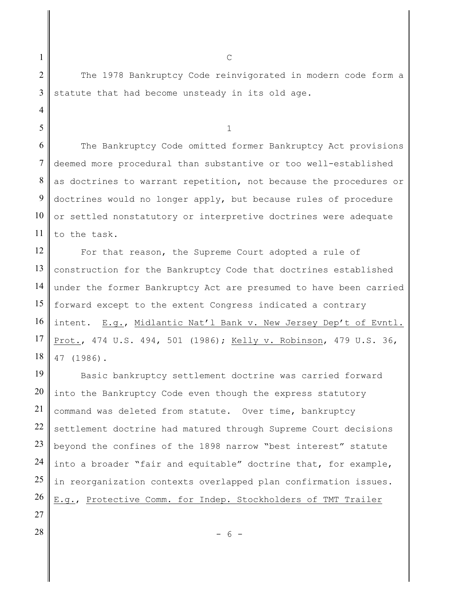1

2

3

4

5

The 1978 Bankruptcy Code reinvigorated in modern code form a statute that had become unsteady in its old age.

C

1

6 7 8 9 10 11 The Bankruptcy Code omitted former Bankruptcy Act provisions deemed more procedural than substantive or too well-established as doctrines to warrant repetition, not because the procedures or doctrines would no longer apply, but because rules of procedure or settled nonstatutory or interpretive doctrines were adequate to the task.

12 13 14 15 16 17 18 For that reason, the Supreme Court adopted a rule of construction for the Bankruptcy Code that doctrines established under the former Bankruptcy Act are presumed to have been carried forward except to the extent Congress indicated a contrary intent. E.g., Midlantic Nat'l Bank v. New Jersey Dep't of Evntl. Prot., 474 U.S. 494, 501 (1986); Kelly v. Robinson, 479 U.S. 36, 47 (1986).

19 20 21 22 23 24 25 26 27 Basic bankruptcy settlement doctrine was carried forward into the Bankruptcy Code even though the express statutory command was deleted from statute. Over time, bankruptcy settlement doctrine had matured through Supreme Court decisions beyond the confines of the 1898 narrow "best interest" statute into a broader "fair and equitable" doctrine that, for example, in reorganization contexts overlapped plan confirmation issues. E.g., Protective Comm. for Indep. Stockholders of TMT Trailer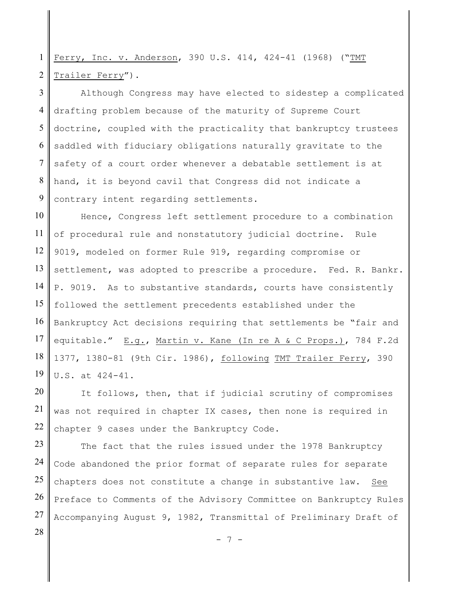1 2 Ferry, Inc. v. Anderson, 390 U.S. 414, 424-41 (1968) ("TMT Trailer Ferry").

3 4 5 6 7 8 9 Although Congress may have elected to sidestep a complicated drafting problem because of the maturity of Supreme Court doctrine, coupled with the practicality that bankruptcy trustees saddled with fiduciary obligations naturally gravitate to the safety of a court order whenever a debatable settlement is at hand, it is beyond cavil that Congress did not indicate a contrary intent regarding settlements.

10 11 12 13 14 15 16 17 18 19 Hence, Congress left settlement procedure to a combination of procedural rule and nonstatutory judicial doctrine. Rule 9019, modeled on former Rule 919, regarding compromise or settlement, was adopted to prescribe a procedure. Fed. R. Bankr. P. 9019. As to substantive standards, courts have consistently followed the settlement precedents established under the Bankruptcy Act decisions requiring that settlements be "fair and equitable." E.g., Martin v. Kane (In re A & C Props.), 784 F.2d 1377, 1380-81 (9th Cir. 1986), following TMT Trailer Ferry, 390 U.S. at 424-41.

20 21 22 It follows, then, that if judicial scrutiny of compromises was not required in chapter IX cases, then none is required in chapter 9 cases under the Bankruptcy Code.

23 24 25 26 27 The fact that the rules issued under the 1978 Bankruptcy Code abandoned the prior format of separate rules for separate chapters does not constitute a change in substantive law. See Preface to Comments of the Advisory Committee on Bankruptcy Rules Accompanying August 9, 1982, Transmittal of Preliminary Draft of

28

- 7 -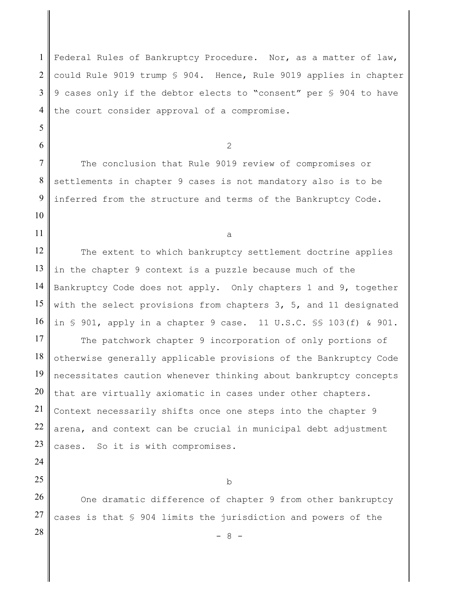1 2 3 4 Federal Rules of Bankruptcy Procedure. Nor, as a matter of law, could Rule 9019 trump § 904. Hence, Rule 9019 applies in chapter 9 cases only if the debtor elects to "consent" per § 904 to have the court consider approval of a compromise.

2

7 8 9 The conclusion that Rule 9019 review of compromises or settlements in chapter 9 cases is not mandatory also is to be inferred from the structure and terms of the Bankruptcy Code.

10

11

5

6

a

12 13 14 15 16 The extent to which bankruptcy settlement doctrine applies in the chapter 9 context is a puzzle because much of the Bankruptcy Code does not apply. Only chapters 1 and 9, together with the select provisions from chapters 3, 5, and 11 designated in § 901, apply in a chapter 9 case. 11 U.S.C. §§ 103(f) & 901.

17 18 19 20 21 22 23 The patchwork chapter 9 incorporation of only portions of otherwise generally applicable provisions of the Bankruptcy Code necessitates caution whenever thinking about bankruptcy concepts that are virtually axiomatic in cases under other chapters. Context necessarily shifts once one steps into the chapter 9 arena, and context can be crucial in municipal debt adjustment cases. So it is with compromises.

24

25

b

26 27 28 One dramatic difference of chapter 9 from other bankruptcy cases is that § 904 limits the jurisdiction and powers of the

- 8 -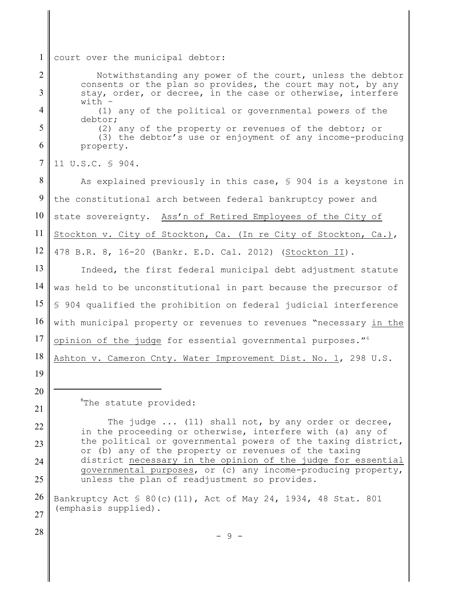1 2 3 4 5 6 7 8 9 10 11 12 13 14 15 16 17 18 19 20 21 22 23 24 25 26 27 court over the municipal debtor: Notwithstanding any power of the court, unless the debtor consents or the plan so provides, the court may not, by any stay, order, or decree, in the case or otherwise, interfere with – (1) any of the political or governmental powers of the debtor; (2) any of the property or revenues of the debtor; or (3) the debtor's use or enjoyment of any income-producing property. 11 U.S.C. § 904. As explained previously in this case, § 904 is a keystone in the constitutional arch between federal bankruptcy power and state sovereignty. Ass'n of Retired Employees of the City of Stockton v. City of Stockton, Ca. (In re City of Stockton, Ca.), 478 B.R. 8, 16-20 (Bankr. E.D. Cal. 2012) (Stockton II). Indeed, the first federal municipal debt adjustment statute was held to be unconstitutional in part because the precursor of § 904 qualified the prohibition on federal judicial interference with municipal property or revenues to revenues "necessary in the opinion of the judge for essential governmental purposes."<sup>6</sup> Ashton v. Cameron Cnty. Water Improvement Dist. No. 1, 298 U.S. <sup>o</sup>The statute provided: The judge ... (11) shall not, by any order or decree, in the proceeding or otherwise, interfere with (a) any of the political or governmental powers of the taxing district, or (b) any of the property or revenues of the taxing district necessary in the opinion of the judge for essential governmental purposes, or (c) any income-producing property, unless the plan of readjustment so provides. Bankruptcy Act § 80(c)(11), Act of May 24, 1934, 48 Stat. 801 (emphasis supplied).

- 9 -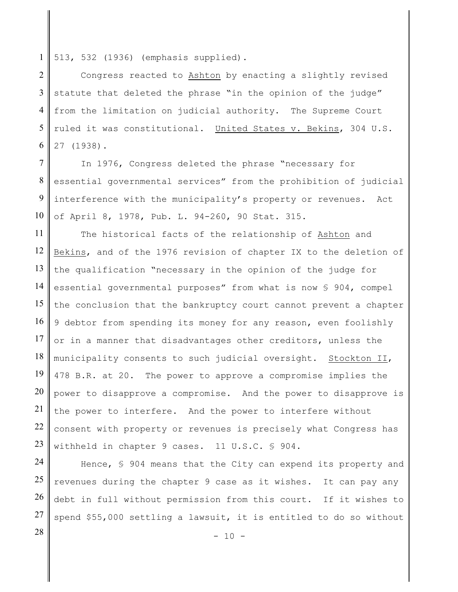1 513, 532 (1936) (emphasis supplied).

2 3 4 5 6 Congress reacted to Ashton by enacting a slightly revised statute that deleted the phrase "in the opinion of the judge" from the limitation on judicial authority. The Supreme Court ruled it was constitutional. United States v. Bekins, 304 U.S. 27 (1938).

7 8 9 10 In 1976, Congress deleted the phrase "necessary for essential governmental services" from the prohibition of judicial interference with the municipality's property or revenues. Act of April 8, 1978, Pub. L. 94-260, 90 Stat. 315.

11 12 13 14 15 16 17 18 19 20 21 22 23 The historical facts of the relationship of Ashton and Bekins, and of the 1976 revision of chapter IX to the deletion of the qualification "necessary in the opinion of the judge for essential governmental purposes" from what is now § 904, compel the conclusion that the bankruptcy court cannot prevent a chapter 9 debtor from spending its money for any reason, even foolishly or in a manner that disadvantages other creditors, unless the municipality consents to such judicial oversight. Stockton II, 478 B.R. at 20. The power to approve a compromise implies the power to disapprove a compromise. And the power to disapprove is the power to interfere. And the power to interfere without consent with property or revenues is precisely what Congress has withheld in chapter 9 cases. 11 U.S.C. § 904.

24 25 26 27 Hence, § 904 means that the City can expend its property and revenues during the chapter 9 case as it wishes. It can pay any debt in full without permission from this court. If it wishes to spend \$55,000 settling a lawsuit, it is entitled to do so without

28

 $- 10 -$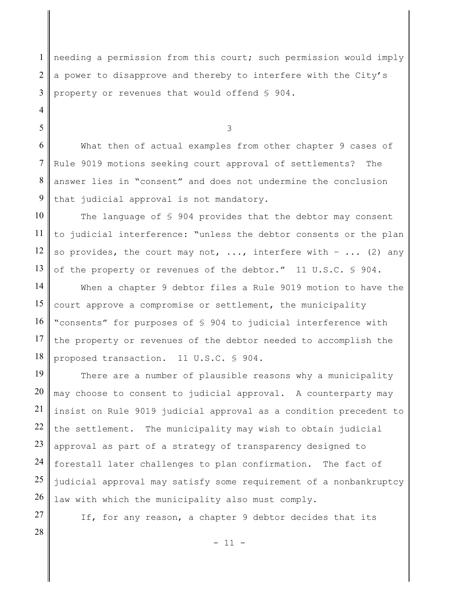1 2 3 needing a permission from this court; such permission would imply a power to disapprove and thereby to interfere with the City's property or revenues that would offend § 904.

3

6 7 8 9 What then of actual examples from other chapter 9 cases of Rule 9019 motions seeking court approval of settlements? The answer lies in "consent" and does not undermine the conclusion that judicial approval is not mandatory.

10 11 12 13 The language of § 904 provides that the debtor may consent to judicial interference: "unless the debtor consents or the plan so provides, the court may not,  $\ldots$ , interfere with -  $\ldots$  (2) any of the property or revenues of the debtor." 11 U.S.C. § 904.

14 15 16 17 18 When a chapter 9 debtor files a Rule 9019 motion to have the court approve a compromise or settlement, the municipality "consents" for purposes of § 904 to judicial interference with the property or revenues of the debtor needed to accomplish the proposed transaction. 11 U.S.C. § 904.

19 20 21 22 23 24 25 26 There are a number of plausible reasons why a municipality may choose to consent to judicial approval. A counterparty may insist on Rule 9019 judicial approval as a condition precedent to the settlement. The municipality may wish to obtain judicial approval as part of a strategy of transparency designed to forestall later challenges to plan confirmation. The fact of judicial approval may satisfy some requirement of a nonbankruptcy law with which the municipality also must comply.

27 28

4

5

If, for any reason, a chapter 9 debtor decides that its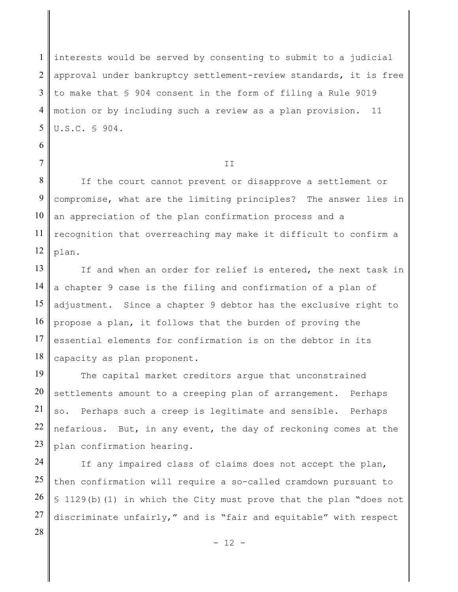1 2 3 4 5 interests would be served by consenting to submit to a judicial approval under bankruptcy settlement-review standards, it is free to make that § 904 consent in the form of filing a Rule 9019 motion or by including such a review as a plan provision. 11 U.S.C. § 904.

6

7

28

## II

8 9 10 11 12 If the court cannot prevent or disapprove a settlement or compromise, what are the limiting principles? The answer lies in an appreciation of the plan confirmation process and a recognition that overreaching may make it difficult to confirm a plan.

13 14 15 16 17 18 If and when an order for relief is entered, the next task in a chapter 9 case is the filing and confirmation of a plan of adjustment. Since a chapter 9 debtor has the exclusive right to propose a plan, it follows that the burden of proving the essential elements for confirmation is on the debtor in its capacity as plan proponent.

19 20 21 22 23 The capital market creditors argue that unconstrained settlements amount to a creeping plan of arrangement. Perhaps so. Perhaps such a creep is legitimate and sensible. Perhaps nefarious. But, in any event, the day of reckoning comes at the plan confirmation hearing.

24 25 26 27 If any impaired class of claims does not accept the plan, then confirmation will require a so-called cramdown pursuant to § 1129(b)(1) in which the City must prove that the plan "does not discriminate unfairly," and is "fair and equitable" with respect

- 12 -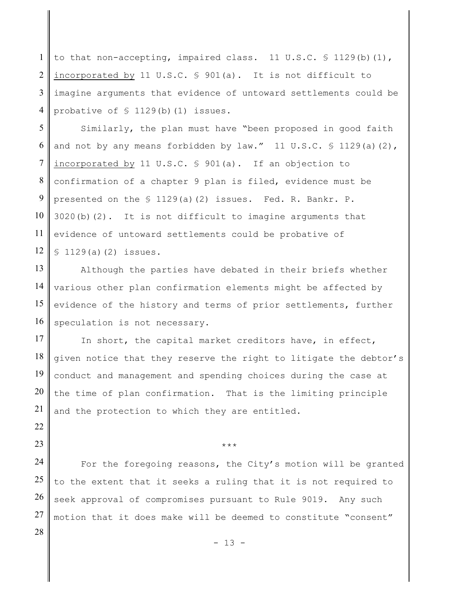1 2 3 4 to that non-accepting, impaired class. 11 U.S.C. § 1129(b)(1), incorporated by 11 U.S.C. § 901(a). It is not difficult to imagine arguments that evidence of untoward settlements could be probative of  $$ 1129(b)(1)$  issues.

5 6 7 8 9 10 11 12 Similarly, the plan must have "been proposed in good faith and not by any means forbidden by  $law.''$  11  $U.S.C. \$ § 1129(a)(2), incorporated by 11 U.S.C. § 901(a). If an objection to confirmation of a chapter 9 plan is filed, evidence must be presented on the  $\frac{129(a)(2)}{25}$  issues. Fed. R. Bankr. P.  $3020(b)(2)$ . It is not difficult to imagine arguments that evidence of untoward settlements could be probative of  $$129(a)(2)$  issues.

13 14 15 16 Although the parties have debated in their briefs whether various other plan confirmation elements might be affected by evidence of the history and terms of prior settlements, further speculation is not necessary.

17 18 19 20 21 In short, the capital market creditors have, in effect, given notice that they reserve the right to litigate the debtor's conduct and management and spending choices during the case at the time of plan confirmation. That is the limiting principle and the protection to which they are entitled.

22

23

28

\*\*\*

24 25 26 27 For the foregoing reasons, the City's motion will be granted to the extent that it seeks a ruling that it is not required to seek approval of compromises pursuant to Rule 9019. Any such motion that it does make will be deemed to constitute "consent"

- 13 -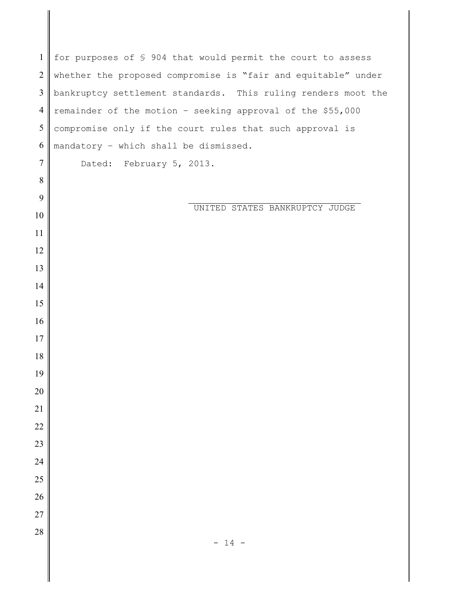| $\mathbf{1}$             | for purposes of § 904 that would permit the court to assess   |
|--------------------------|---------------------------------------------------------------|
| $\sqrt{2}$               | whether the proposed compromise is "fair and equitable" under |
| $\mathfrak{Z}$           | bankruptcy settlement standards. This ruling renders moot the |
| $\overline{\mathcal{A}}$ | remainder of the motion - seeking approval of the \$55,000    |
| $\mathfrak s$            | compromise only if the court rules that such approval is      |
| 6                        | mandatory - which shall be dismissed.                         |
| $\boldsymbol{7}$         | Dated: February 5, 2013.                                      |
| $8\,$                    |                                                               |
| 9                        | UNITED STATES BANKRUPTCY JUDGE                                |
| 10                       |                                                               |
| 11                       |                                                               |
| 12                       |                                                               |
| 13                       |                                                               |
| 14                       |                                                               |
| 15                       |                                                               |
| 16                       |                                                               |
| 17<br>18                 |                                                               |
| 19                       |                                                               |
| 20                       |                                                               |
| 21                       |                                                               |
| 22                       |                                                               |
| 23                       |                                                               |
| 24                       |                                                               |
| 25                       |                                                               |
| 26                       |                                                               |
| $27\,$                   |                                                               |
| 28                       |                                                               |
|                          | $-14 -$                                                       |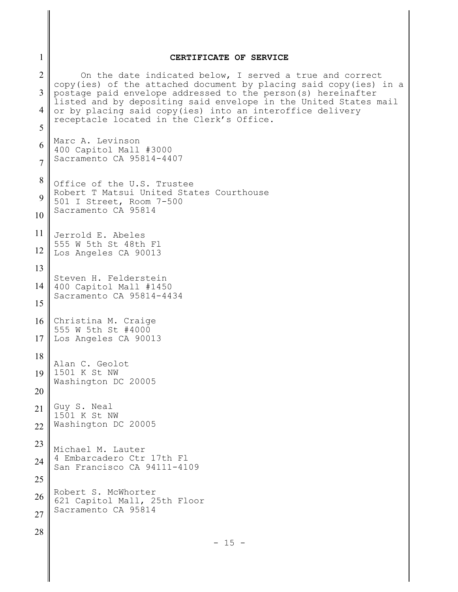| 1                                                              | CERTIFICATE OF SERVICE                                                                                                                                                                        |
|----------------------------------------------------------------|-----------------------------------------------------------------------------------------------------------------------------------------------------------------------------------------------|
| $\overline{2}$<br>3                                            | On the date indicated below, I served a true and correct<br>copy(ies) of the attached document by placing said copy(ies) in a<br>postage paid envelope addressed to the person(s) hereinafter |
| or by placing said copy(ies) into an interoffice delivery<br>4 | listed and by depositing said envelope in the United States mail                                                                                                                              |
| 5                                                              | receptacle located in the Clerk's Office.                                                                                                                                                     |
| 6<br>$\overline{7}$                                            | Marc A. Levinson<br>400 Capitol Mall #3000<br>Sacramento CA 95814-4407                                                                                                                        |
| 8                                                              |                                                                                                                                                                                               |
| 9                                                              | Office of the U.S. Trustee<br>Robert T Matsui United States Courthouse<br>501 I Street, Room 7-500                                                                                            |
| 10                                                             | Sacramento CA 95814                                                                                                                                                                           |
| 11                                                             | Jerrold E. Abeles                                                                                                                                                                             |
| 12                                                             | 555 W 5th St 48th Fl<br>Los Angeles CA 90013                                                                                                                                                  |
| 13                                                             | Steven H. Felderstein                                                                                                                                                                         |
| 14                                                             | 400 Capitol Mall #1450<br>Sacramento CA 95814-4434                                                                                                                                            |
| 15                                                             |                                                                                                                                                                                               |
| 16<br>17                                                       | Christina M. Craige<br>555 W 5th St #4000<br>Los Angeles CA 90013                                                                                                                             |
| 18                                                             | Alan C. Geolot                                                                                                                                                                                |
| 19                                                             | 1501 K St NW<br>Washington DC 20005                                                                                                                                                           |
| 20                                                             |                                                                                                                                                                                               |
| 21<br>22                                                       | Guy S. Neal<br>1501 K St NW<br>Washington DC 20005                                                                                                                                            |
| 23                                                             | Michael M. Lauter                                                                                                                                                                             |
| 24                                                             | 4 Embarcadero Ctr 17th Fl<br>San Francisco CA 94111-4109                                                                                                                                      |
| 25                                                             |                                                                                                                                                                                               |
| 26                                                             | Robert S. McWhorter<br>621 Capitol Mall, 25th Floor<br>Sacramento CA 95814                                                                                                                    |
| 27                                                             |                                                                                                                                                                                               |
| 28                                                             | $-15 -$                                                                                                                                                                                       |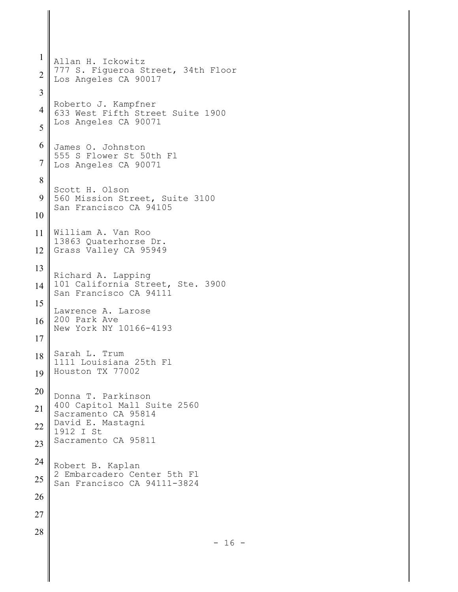```
1
2
3
4
5
6
7
8
9
10
11
12
13
14
15
16
17
18
19
20
21
22
23
24
25
26
27
28
   Allan H. Ickowitz
   777 S. Figueroa Street, 34th Floor
   Los Angeles CA 90017
   Roberto J. Kampfner
   633 West Fifth Street Suite 1900
   Los Angeles CA 90071
   James O. Johnston
   555 S Flower St 50th Fl
   Los Angeles CA 90071
   Scott H. Olson
   560 Mission Street, Suite 3100
   San Francisco CA 94105
   William A. Van Roo
   13863 Quaterhorse Dr.
   Grass Valley CA 95949
   Richard A. Lapping
   101 California Street, Ste. 3900
   San Francisco CA 94111
   Lawrence A. Larose
   200 Park Ave
   New York NY 10166-4193
   Sarah L. Trum
   1111 Louisiana 25th Fl
   Houston TX 77002
   Donna T. Parkinson
   400 Capitol Mall Suite 2560
   Sacramento CA 95814
   David E. Mastagni
   1912 I St
   Sacramento CA 95811
   Robert B. Kaplan
   2 Embarcadero Center 5th Fl
   San Francisco CA 94111-3824
                                   - 16 -
```